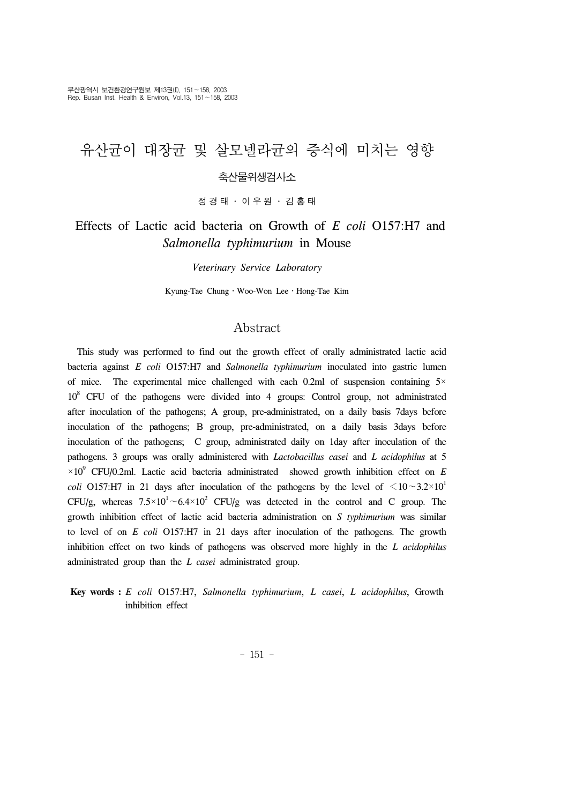## 유산균이 대장균 및 살모넬라균의 증식에 미치는 영향 축산물위생검사소

정경태 ․ 이우원 ․ 김홍태

## Effects of Lactic acid bacteria on Growth of *E coli* O157:H7 and *Salmonella typhimurium* in Mouse

*Veterinary Service Laboratory*

Kyung-Tae Chung․Woo-Won Lee․Hong-Tae Kim

#### Abstract

 This study was performed to find out the growth effect of orally administrated lactic acid bacteria against *E coli* O157:H7 and *Salmonella typhimurium* inoculated into gastric lumen of mice. The experimental mice challenged with each 0.2ml of suspension containing  $5\times$ 108 CFU of the pathogens were divided into 4 groups: Control group, not administrated after inoculation of the pathogens; A group, pre-administrated, on a daily basis 7days before inoculation of the pathogens; B group, pre-administrated, on a daily basis 3days before inoculation of the pathogens; C group, administrated daily on 1day after inoculation of the pathogens. 3 groups was orally administered with *Lactobacillus casei* and *L acidophilus* at 5  $\times10^{9}$  CFU/0.2ml. Lactic acid bacteria administrated showed growth inhibition effect on *E coli* O157:H7 in 21 days after inoculation of the pathogens by the level of  $\leq 10~3.2\times10^{1}$ CFU/g, whereas  $7.5 \times 10^{1} \sim 6.4 \times 10^{2}$  CFU/g was detected in the control and C group. The growth inhibition effect of lactic acid bacteria administration on *S typhimurium* was similar to level of on *E coli* O157:H7 in 21 days after inoculation of the pathogens. The growth inhibition effect on two kinds of pathogens was observed more highly in the *L acidophilus*  administrated group than the *L casei* administrated group.

#### **Key words :** *E coli* O157:H7, *Salmonella typhimurium*, *L casei*, *L acidophilus*, Growth inhibition effect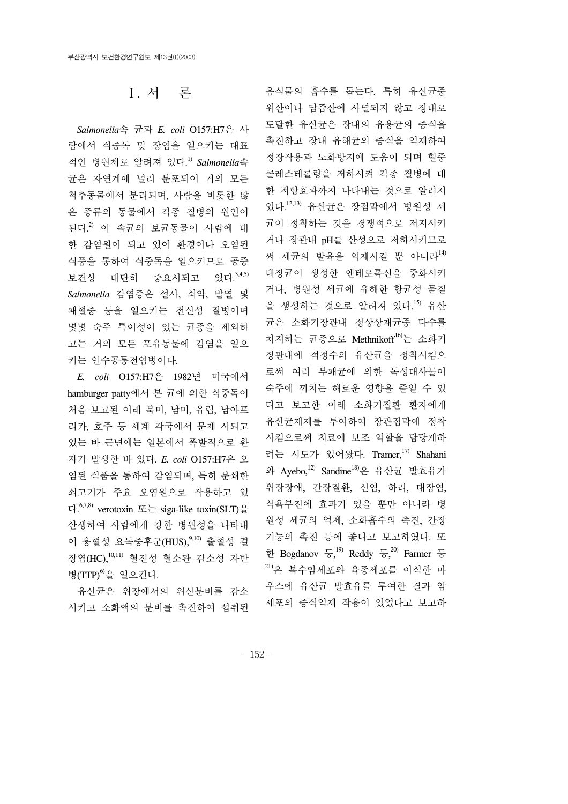## Ⅰ. 서 론

 *Salmonella*속 균과 *E. coli* O157:H7은 사 람에서 식중독 및 장염을 일으키는 대표 적인 병원체로 알려져 있다. 1) *Salmonella*속 균은 자연계에 널리 분포되어 거의 모든 척추동물에서 분리되며, 사람을 비롯한 많 은 종류의 동물에서 각종 질병의 원인이 된다.<sup>2)</sup> 이 속균의 보균동물이 사람에 대 한 감염원이 되고 있어 환경이나 오염된 식품을 통하여 식중독을 일으키므로 공중 보건상 대단히 중요시되고 있다.<sup>3,4,5)</sup> *Salmonella* 감염증은 설사, 쇠약, 발열 및 패혈증 등을 일으키는 전신성 질병이며 몇몇 숙주 특이성이 있는 균종을 제외하 고는 거의 모든 포유동물에 감염을 일으 키는 인수공통전염병이다.

 *E. coli* O157:H7은 1982년 미국에서 hamburger patty에서 본 균에 의한 식중독이 처음 보고된 이래 북미, 남미, 유럽, 남아프 리카, 호주 등 세계 각국에서 문제 시되고 있는 바 근년에는 일본에서 폭발적으로 환 자가 발생한 바 있다. *E. coli* O157:H7은 오 염된 식품을 통하여 감염되며, 특히 분쇄한 쇠고기가 주요 오염원으로 작용하고 있 다. 6,7,8) verotoxin 또는 siga-like toxin(SLT)을 산생하여 사람에게 강한 병원성을 나타내 어 용혈성 요독증후군(HUS), 9,10) 출혈성 결 장염(HC),10,11) 혈전성 혈소판 감소성 자반 병 $(TTP)^{6}$ 을 일으킨다.

 유산균은 위장에서의 위산분비를 감소 시키고 소화액의 분비를 촉진하여 섭취된

음식물의 흡수를 돕는다. 특히 유산균중 위산이나 담즙산에 사멸되지 않고 장내로 도달한 유산균은 장내의 유용균의 증식을 촉진하고 장내 유해균의 증식을 억제하여 정장작용과 노화방지에 도움이 되며 혈중 콜레스테롤량을 저하시켜 각종 질병에 대 한 저항효과까지 나타내는 것으로 알려져 있다. 12,13) 유산균은 장점막에서 병원성 세 균이 정착하는 것을 경쟁적으로 저지시키 거나 장관내 pH를 산성으로 저하시키므로 써 세규의 발육을 억제시킬 뿐 아니라<sup>14)</sup> 대장균이 생성한 엔테로톡신을 중화시키 거나, 병원성 세균에 유해한 항균성 물질 을 생성하는 것으로 알려져 있다. 15) 유산 균은 소화기장관내 정상상재균중 다수를 차지하는 균종으로 Methnikoff<sup>16</sup>는 소화기 장관내에 적정수의 유산균을 정착시킴으 로써 여러 부패균에 의한 독성대사물이 숙주에 끼치는 해로운 영향을 줄일 수 있 다고 보고한 이래 소화기질환 환자에게 유산균제제를 투여하여 장관점막에 정착 시킴으로써 치료에 보조 역할을 담당케하 려는 시도가 있어왔다. Tramer,<sup>17)</sup> Shahani 와 Ayebo,12) Sandine18)은 유산균 발효유가 위장장애, 간장질환, 신염, 하리, 대장염, 식욕부진에 효과가 있을 뿐만 아니라 병 원성 세균의 억제, 소화흡수의 촉진, 간장 기능의 촉진 등에 좋다고 보고하였다. 또 한 Bogdanov  $\frac{1}{6}$ , Reddy 등,  $\frac{20}{6}$  Farmer 등 21)은 복수암세포와 육종세포를 이식한 마 우스에 유산균 발효유를 투여한 결과 암 세포의 증식억제 작용이 있었다고 보고하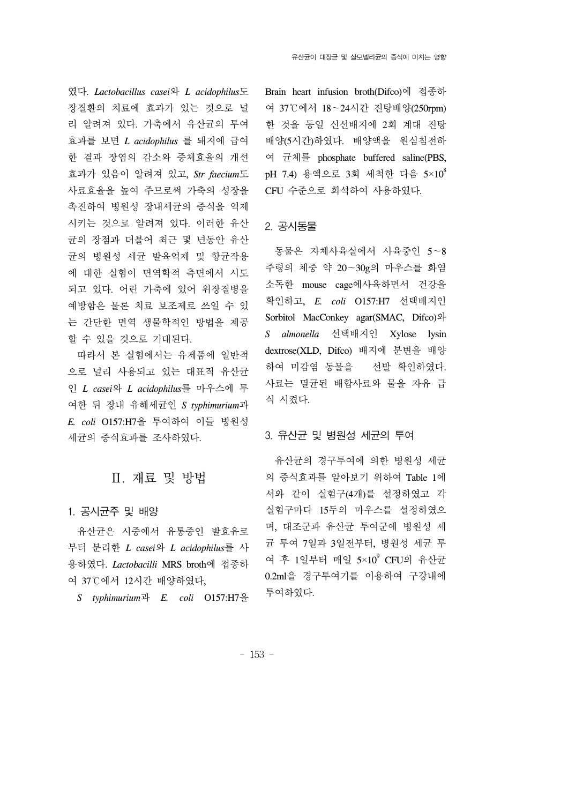였다. *Lactobacillus casei*와 *L acidophilus*도 장질환의 치료에 효과가 있는 것으로 널 리 알려져 있다. 가축에서 유산균의 투여 효과를 보면 *L acidophilus* 를 돼지에 급여 한 결과 장염의 감소와 증체효율의 개선 효과가 있음이 알려져 있고, *Str faecium*도 사료효율을 높여 주므로써 가축의 성장을 촉진하여 병원성 장내세균의 증식을 억제 시키는 것으로 알려져 있다. 이러한 유산 균의 장점과 더불어 최근 몇 년동안 유산 균의 병원성 세균 발육억제 및 항균작용 에 대한 실험이 면역학적 측면에서 시도 되고 있다. 어린 가축에 있어 위장질병을 예방함은 물론 치료 보조제로 쓰일 수 있 는 간단한 면역 생물학적인 방법을 제공 할 수 있을 것으로 기대된다.

 따라서 본 실험에서는 유제품에 일반적 으로 널리 사용되고 있는 대표적 유산균 인 *L casei*와 *L acidophilus*를 마우스에 투 여한 뒤 장내 유해세균인 *S typhimurium*과 *E. coli* O157:H7을 투여하여 이들 병원성 세균의 증식효과를 조사하였다.

## Ⅱ. 재료 및 방법

#### 1. 공시균주 및 배양

 유산균은 시중에서 유통중인 발효유로 부터 분리한 *L casei*와 *L acidophilus*를 사 용하였다. *Lactobacilli* MRS broth에 접종하 여 37℃에서 12시간 배양하였다,

*S typhimurium*과 *E. coli* O157:H7을

Brain heart infusion broth(Difco)에 접종하 여 37℃에서 18∼24시간 진탕배양(250rpm) 한 것을 동일 신선배지에 2회 계대 진탕 배양(5시간)하였다. 배양액을 원심침전하 여 균체를 phosphate buffered saline(PBS, pH 7.4) 용액으로 3회 세척한 다음 5×108 CFU 수준으로 희석하여 사용하였다.

#### 2. 공시동물

 동물은 자체사육실에서 사육중인 5∼8 주령의 체중 약 20∼30g의 마우스를 화염 소독한 mouse cage에사육하면서 건강을 확인하고, *E. coli* O157:H7 선택배지인 Sorbitol MacConkey agar(SMAC, Difco)와 *S almonella* 선택배지인 Xylose lysin dextrose(XLD, Difco) 배지에 분변을 배양 하여 미감염 동물을 선발 확인하였다. 사료는 멸균된 배합사료와 물을 자유 급 식 시켰다.

#### 3. 유산균 및 병원성 세균의 투여

 유산균의 경구투여에 의한 병원성 세균 의 증식효과를 알아보기 위하여 Table 1에 서와 같이 실험구(4개)를 설정하였고 각 실험구마다 15두의 마우스를 설정하였으 며, 대조군과 유산균 투여군에 병원성 세 균 투여 7일과 3일전부터, 병원성 세균 투 여 후 1일부터 매일 5×10<sup>9</sup> CFU의 유산균 0.2ml을 경구투여기를 이용하여 구강내에 투여하였다.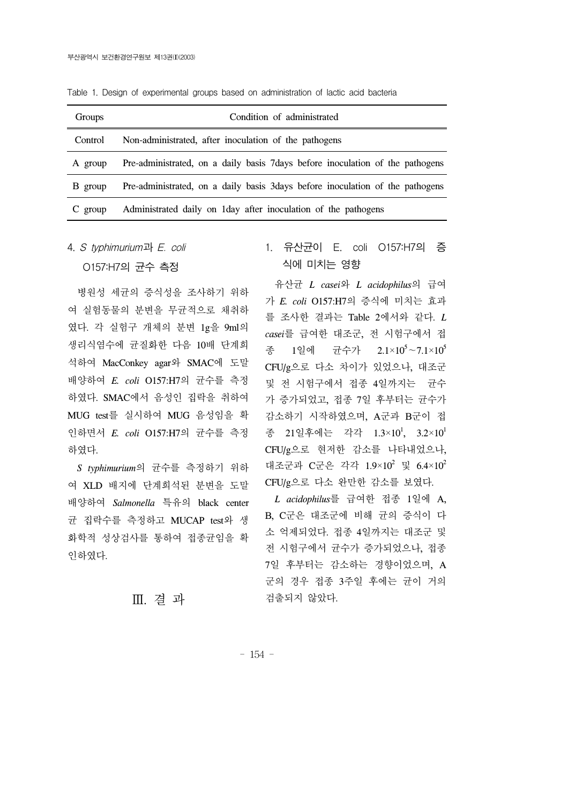| Groups    | Condition of administrated                                                     |  |  |  |  |  |  |  |
|-----------|--------------------------------------------------------------------------------|--|--|--|--|--|--|--|
| Control   | Non-administrated, after inoculation of the pathogens                          |  |  |  |  |  |  |  |
| A group   | Pre-administrated, on a daily basis 7 days before inoculation of the pathogens |  |  |  |  |  |  |  |
| B group   | Pre-administrated, on a daily basis 3days before inoculation of the pathogens  |  |  |  |  |  |  |  |
| $C$ group | Administrated daily on 1 day after inoculation of the pathogens                |  |  |  |  |  |  |  |

Table 1. Design of experimental groups based on administration of lactic acid bacteria

4. S typhimurium과 E. coli

O157:H7의 균수 측정

 병원성 세균의 증식성을 조사하기 위하 여 실험동물의 분변을 무균적으로 채취하 였다. 각 실험구 개체의 분변 1g을 9ml의 생리식염수에 균질화한 다음 10배 단계희 석하여 MacConkey agar와 SMAC에 도말 배양하여 *E. coli* O157:H7의 균수를 측정 하였다. SMAC에서 음성인 집락을 취하여 MUG test를 실시하여 MUG 음성임을 확 인하면서 *E. coli* O157:H7의 균수를 측정 하였다.

 *S typhimurium*의 균수를 측정하기 위하 여 XLD 배지에 단계희석된 분변을 도말 배양하여 *Salmonella* 특유의 black center 균 집락수를 측정하고 MUCAP test와 생 화학적 성상검사를 통하여 접종균임을 확 인하였다.

### Ⅲ. 결 과

## 1. 유산균이 E. coli O157:H7의 증 식에 미치는 영향

 유산균 *L casei*와 *L acidophilus*의 급여 가 *E. coli* O157:H7의 증식에 미치는 효과 를 조사한 결과는 Table 2에서와 같다. *L casei*를 급여한 대조군, 전 시험구에서 접 종 1일에 균수가 2.1×10<sup>5</sup>∼7.1×10<sup>5</sup> CFU/g으로 다소 차이가 있었으나, 대조군 및 전 시험구에서 접종 4일까지는 균수 가 증가되었고, 접종 7일 후부터는 균수가 감소하기 시작하였으며, A군과 B군이 접 종 21일후에는 각각 1.3×10<sup>1</sup>, 3.2×10<sup>1</sup> CFU/g으로 현저한 감소를 나타내었으나, 대조군과 C군은 각각 1.9×10<sup>2</sup> 및 6.4×10<sup>2</sup> CFU/g으로 다소 완만한 감소를 보였다.

 *L acidophilus*를 급여한 접종 1일에 A, B, C군은 대조군에 비해 균의 증식이 다 소 억제되었다. 접종 4일까지는 대조군 및 전 시험구에서 균수가 증가되었으나, 접종 7일 후부터는 감소하는 경향이었으며, A 군의 경우 접종 3주일 후에는 균이 거의 검출되지 않았다.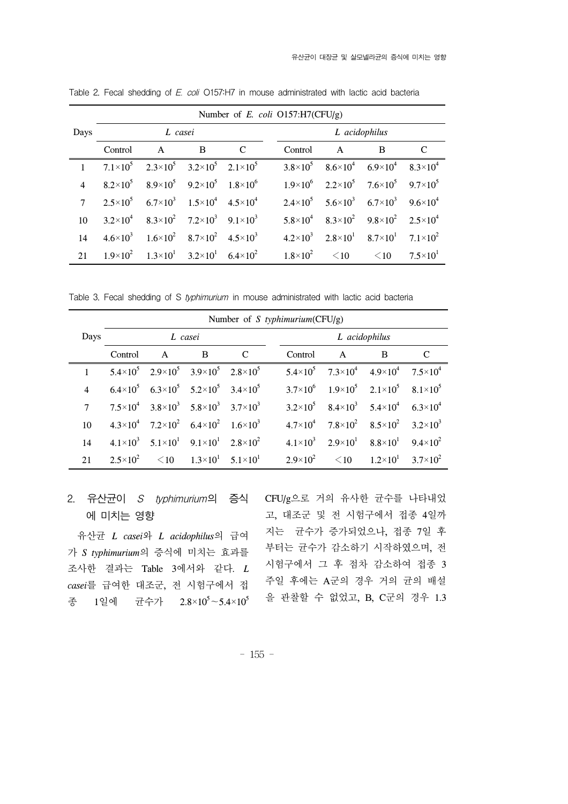|                | Number of $E$ . coli O157:H7(CFU/g) |                                                                               |   |   |  |                     |                                                                         |           |                     |  |
|----------------|-------------------------------------|-------------------------------------------------------------------------------|---|---|--|---------------------|-------------------------------------------------------------------------|-----------|---------------------|--|
| Days           | L casei                             |                                                                               |   |   |  | L acidophilus       |                                                                         |           |                     |  |
|                | Control                             | $\mathsf{A}$                                                                  | B | C |  | Control             | $\mathsf{A}$                                                            | B         | C                   |  |
| $\mathbf{1}$   |                                     | $7.1\times10^5$ $2.3\times10^5$ $3.2\times10^5$ $2.1\times10^5$               |   |   |  |                     | $3.8\times10^5$ $8.6\times10^4$ $6.9\times10^4$ $8.3\times10^4$         |           |                     |  |
| $\overline{4}$ |                                     | $8.2\times10^5$ $8.9\times10^5$ $9.2\times10^5$ $1.8\times10^6$               |   |   |  |                     | $1.9\times10^{6}$ $2.2\times10^{5}$ $7.6\times10^{5}$ $9.7\times10^{5}$ |           |                     |  |
| $7^{\circ}$    |                                     | $2.5 \times 10^5$ 6.7×10 <sup>3</sup> 1.5×10 <sup>4</sup> 4.5×10 <sup>4</sup> |   |   |  |                     | $2.4 \times 10^5$ $5.6 \times 10^3$ $6.7 \times 10^3$ $9.6 \times 10^4$ |           |                     |  |
| 10             |                                     | $3.2\times10^{4}$ $8.3\times10^{2}$ $7.2\times10^{3}$ $9.1\times10^{3}$       |   |   |  |                     | $5.8\times10^4$ $8.3\times10^2$ $9.8\times10^2$ $2.5\times10^4$         |           |                     |  |
| 14             |                                     | $4.6 \times 10^3$ $1.6 \times 10^2$ $8.7 \times 10^2$ $4.5 \times 10^3$       |   |   |  |                     | $4.2 \times 10^3$ $2.8 \times 10^1$ $8.7 \times 10^1$ $7.1 \times 10^2$ |           |                     |  |
| 21             |                                     | $1.9\times10^{2}$ $1.3\times10^{1}$ $3.2\times10^{1}$ $6.4\times10^{2}$       |   |   |  | $1.8 \times 10^{2}$ | $\leq 10$                                                               | $\leq$ 10 | $7.5 \times 10^{1}$ |  |

Table 2. Fecal shedding of E. coli O157:H7 in mouse administrated with lactic acid bacteria

Table 3. Fecal shedding of S typhimurium in mouse administrated with lactic acid bacteria

|                 | Number of S typhimurium( $CFU/g$ ) |                                                                         |   |   |  |                   |                                                                         |                               |                              |
|-----------------|------------------------------------|-------------------------------------------------------------------------|---|---|--|-------------------|-------------------------------------------------------------------------|-------------------------------|------------------------------|
| Days            | L casei                            |                                                                         |   |   |  | L acidophilus     |                                                                         |                               |                              |
|                 | Control                            | $\mathbf{A}$                                                            | B | C |  | Control           | $\mathsf{A}$                                                            | B                             | C                            |
|                 |                                    | $5.4 \times 10^5$ $2.9 \times 10^5$ $3.9 \times 10^5$ $2.8 \times 10^5$ |   |   |  |                   | $5.4 \times 10^5$ $7.3 \times 10^4$ $4.9 \times 10^4$ $7.5 \times 10^4$ |                               |                              |
| $\overline{4}$  |                                    | $6.4\times10^5$ $6.3\times10^5$ $5.2\times10^5$ $3.4\times10^5$         |   |   |  |                   | $3.7\times10^{6}$ $1.9\times10^{5}$ $2.1\times10^{5}$ $8.1\times10^{5}$ |                               |                              |
| 7               |                                    | $7.5 \times 10^4$ $3.8 \times 10^3$ $5.8 \times 10^3$ $3.7 \times 10^3$ |   |   |  |                   | $3.2\times10^5$ $8.4\times10^3$ $5.4\times10^4$ $6.3\times10^4$         |                               |                              |
| 10 <sup>1</sup> |                                    | $4.3\times10^{4}$ $7.2\times10^{2}$ $6.4\times10^{2}$ $1.6\times10^{3}$ |   |   |  |                   | $4.7\times10^4$ $7.8\times10^2$ $8.5\times10^2$                         |                               | $3.2\times10^3$              |
| 14              |                                    | $4.1\times10^{3}$ $5.1\times10^{1}$ $9.1\times10^{1}$ $2.8\times10^{2}$ |   |   |  |                   | $4.1\times10^{3}$ $2.9\times10^{1}$ $8.8\times10^{1}$                   |                               | 9.4 $\times$ 10 <sup>2</sup> |
| 21              |                                    | $2.5 \times 10^2$ $\leq 10$ $1.3 \times 10^1$ $5.1 \times 10^1$         |   |   |  | $2.9\times10^{2}$ |                                                                         | $\leq 10$ $1.2 \times 10^{1}$ | 3.7 $\times$ 10 <sup>2</sup> |

# 에 미치는 영향

 유산균 *L casei*와 *L acidophilus*의 급여 가 *S typhimurium*의 증식에 미치는 효과를 조사한 결과는 Table 3에서와 같다. *L casei*를 급여한 대조군, 전 시험구에서 접 종 1일에 균수가 2.8×10<sup>5</sup>∼5.4×10<sup>5</sup>

2. 유산균이 *S typhimurium*의 승식 CFU/g으로 거의 유사한 균수를 나타내었 고, 대조군 및 전 시험구에서 접종 4일까 지는 균수가 증가되었으나, 접종 7일 후 부터는 균수가 감소하기 시작하였으며, 전 시험구에서 그 후 점차 감소하여 접종 3 주일 후에는 A군의 경우 거의 균의 배설 을 관찰할 수 없었고, B, C군의 경우 1.3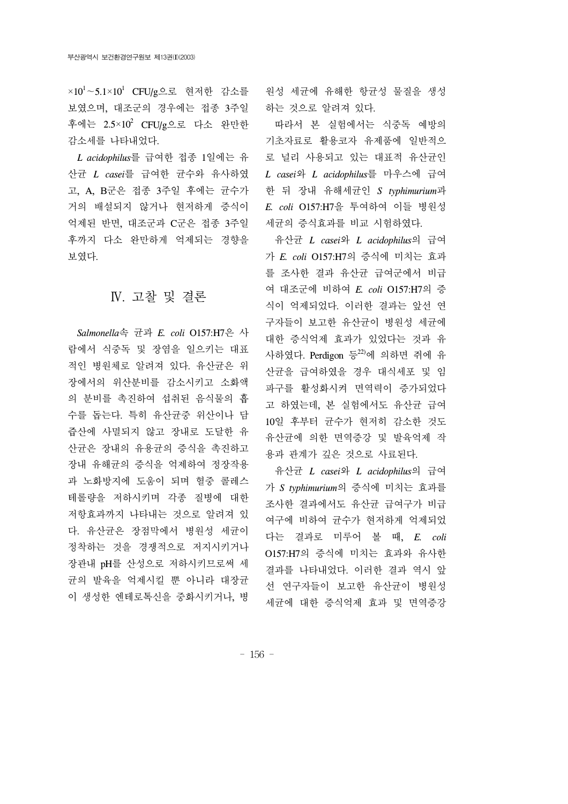×10<sup>1</sup>∼5.1×10<sup>1</sup> CFU/g으로 현저한 감소를 보였으며, 대조군의 경우에는 접종 3주일 후에는 2.5×10<sup>2</sup> CFU/g으로 다소 완만한 감소세를 나타내었다.

 *L acidophilus*를 급여한 접종 1일에는 유 산균 *L casei*를 급여한 균수와 유사하였 고, A, B군은 접종 3주일 후에는 균수가 거의 배설되지 않거나 현저하게 증식이 억제된 반면, 대조군과 C군은 접종 3주일 후까지 다소 완만하게 억제되는 경향을 보였다.

## Ⅳ. 고찰 및 결론

 *Salmonella*속 균과 *E. coli* O157:H7은 사 람에서 식중독 및 장염을 일으키는 대표 적인 병원체로 알려져 있다. 유산균은 위 장에서의 위산분비를 감소시키고 소화액 의 분비를 촉진하여 섭취된 음식물의 흡 수를 돕는다. 특히 유산균중 위산이나 담 즙산에 사멸되지 않고 장내로 도달한 유 산균은 장내의 유용균의 증식을 촉진하고 장내 유해균의 증식을 억제하여 정장작용 과 노화방지에 도움이 되며 혈중 콜레스 테롤량을 저하시키며 각종 질병에 대한 저항효과까지 나타내는 것으로 알려져 있 다. 유산균은 장점막에서 병원성 세균이 정착하는 것을 경쟁적으로 저지시키거나 장관내 pH를 산성으로 저하시키므로써 세 균의 발육을 억제시킬 뿐 아니라 대장균 이 생성한 엔테로톡신을 중화시키거나, 병

원성 세균에 유해한 항균성 물질을 생성 하는 것으로 알려져 있다.

 따라서 본 실험에서는 식중독 예방의 기초자료로 활용코자 유제품에 일반적으 로 널리 사용되고 있는 대표적 유산균인 *L casei*와 *L acidophilus*를 마우스에 급여 한 뒤 장내 유해세균인 *S typhimurium*과 *E. coli* O157:H7을 투여하여 이들 병원성 세균의 증식효과를 비교 시험하였다.

 유산균 *L casei*와 *L acidophilus*의 급여 가 *E. coli* O157:H7의 증식에 미치는 효과 를 조사한 결과 유산균 급여군에서 비급 여 대조군에 비하여 *E. coli* O157:H7의 증 식이 억제되었다. 이러한 결과는 앞선 연 구자들이 보고한 유산균이 병원성 세균에 대한 증식억제 효과가 있었다는 것과 유 사하였다. Perdigon 등 $^{22}$ 에 의하면 쥐에 유 산균을 급여하였을 경우 대식세포 및 임 파구를 활성화시켜 면역력이 증가되었다 고 하였는데, 본 실험에서도 유산균 급여 10일 후부터 균수가 현저히 감소한 것도 유산균에 의한 면역증강 및 발육억제 작 용과 관계가 깊은 것으로 사료된다.

 유산균 *L casei*와 *L acidophilus*의 급여 가 *S typhimurium*의 증식에 미치는 효과를 조사한 결과에서도 유산균 급여구가 비급 여구에 비하여 균수가 현저하게 억제되었 다는 결과로 미루어 볼 때, *E. coli* O157:H7의 증식에 미치는 효과와 유사한 결과를 나타내었다. 이러한 결과 역시 앞 선 연구자들이 보고한 유산균이 병원성 세균에 대한 증식억제 효과 및 면역증강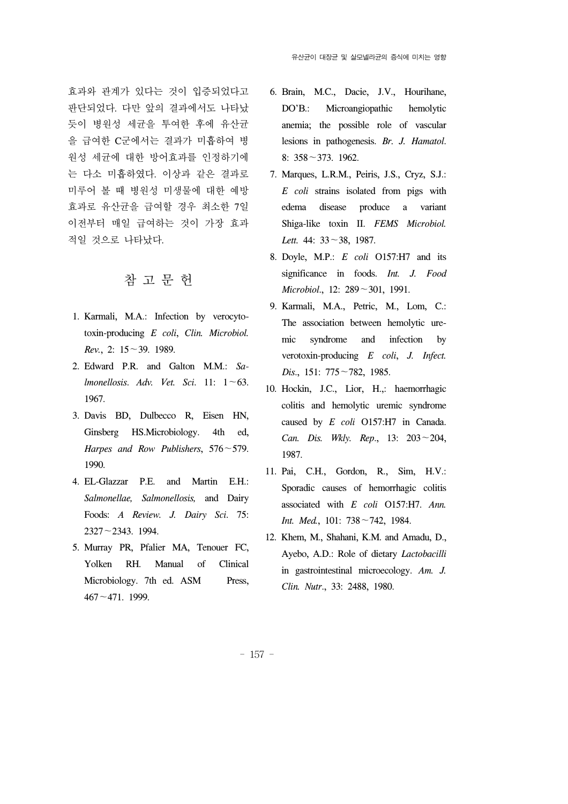효과와 관계가 있다는 것이 입증되었다고 판단되었다. 다만 앞의 결과에서도 나타났 듯이 병원성 세균을 투여한 후에 유산균 을 급여한 C군에서는 결과가 미흡하여 병 원성 세균에 대한 방어효과를 인정하기에 는 다소 미흡하였다. 이상과 같은 결과로 미루어 볼 때 병원성 미생물에 대한 예방 효과로 유산균을 급여할 경우 최소한 7일 이전부터 매일 급여하는 것이 가장 효과 적일 것으로 나타났다.

## 참 고 문 헌

- 1. Karmali, M.A.: Infection by verocytotoxin-producing *E coli*, *Clin. Microbiol. Rev.*, 2: 15∼39. 1989.
- 2. Edward P.R. and Galton M.M.: *Salmonellosis*. *Adv. Vet. Sci*. 11: 1∼63. 1967.
- 3. Davis BD, Dulbecco R, Eisen HN, Ginsberg HS.Microbiology. 4th ed, *Harpes and Row Publishers*, 576∼579. 1990.
- 4. EL-Glazzar P.E. and Martin E.H.: *Salmonellae, Salmonellosis,* and Dairy Foods: *A Review. J. Dairy Sci*. 75: 2327∼2343. 1994.
- 5. Murray PR, Pfalier MA, Tenouer FC, Yolken RH. Manual of Clinical Microbiology. 7th ed. ASM Press, 467∼471. 1999.
- 6. Brain, M.C., Dacie, J.V., Hourihane, DO'B.: Microangiopathic hemolytic anemia; the possible role of vascular lesions in pathogenesis. *Br. J. Hamatol*. 8: 358∼373. 1962.
- 7. Marques, L.R.M., Peiris, J.S., Cryz, S.J.: *E coli* strains isolated from pigs with edema disease produce a variant Shiga-like toxin II. *FEMS Microbiol. Lett.* 44: 33∼38, 1987.
- 8. Doyle, M.P.: *E coli* O157:H7 and its significance in foods. *Int. J. Food Microbiol*., 12: 289∼301, 1991.
- 9. Karmali, M.A., Petric, M., Lom, C.: The association between hemolytic uremic syndrome and infection by verotoxin-producing *E coli*, *J. Infect. Dis*., 151: 775∼782, 1985.
- 10. Hockin, J.C., Lior, H.,: haemorrhagic colitis and hemolytic uremic syndrome caused by *E coli* O157:H7 in Canada. *Can. Dis. Wkly. Rep*., 13: 203∼204, 1987.
- 11. Pai, C.H., Gordon, R., Sim, H.V.: Sporadic causes of hemorrhagic colitis associated with *E coli* O157:H7. *Ann. Int. Med.*, 101: 738∼742, 1984.
- 12. Khem, M., Shahani, K.M. and Amadu, D., Ayebo, A.D.: Role of dietary *Lactobacilli* in gastrointestinal microecology. *Am. J. Clin. Nutr*., 33: 2488, 1980.